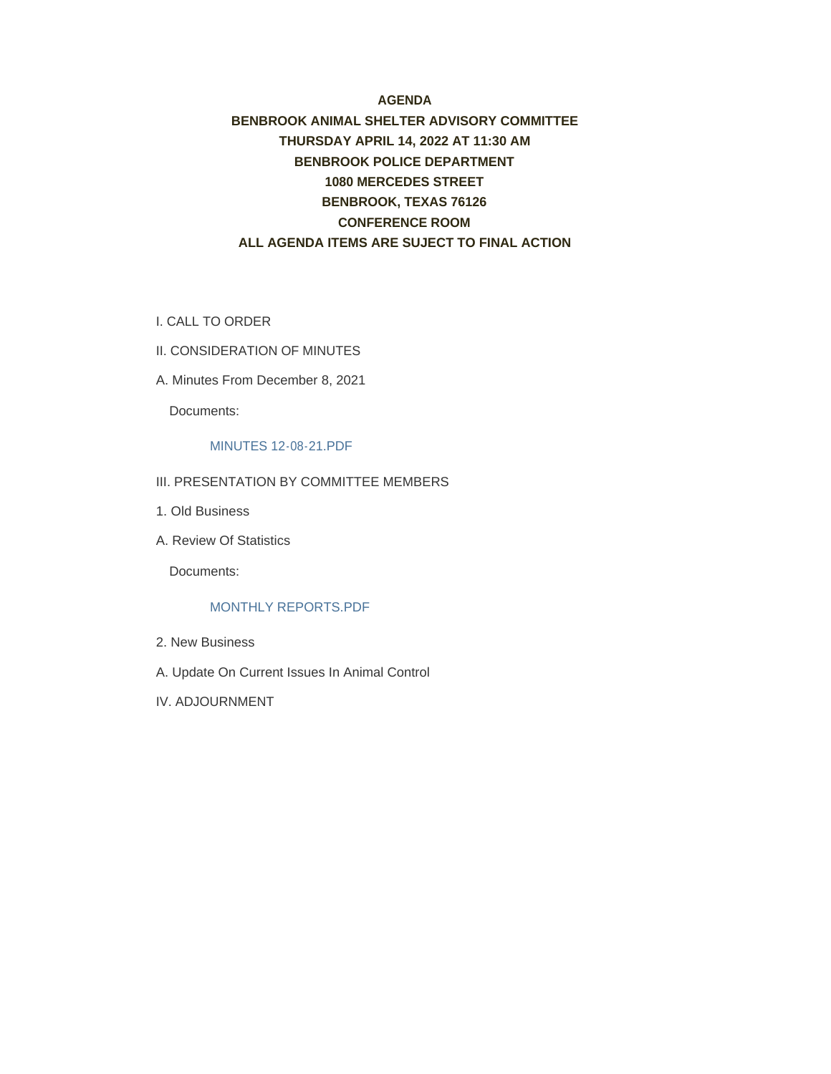#### **AGENDA**

#### **BENBROOK ANIMAL SHELTER ADVISORY COMMITTEE THURSDAY APRIL 14, 2022 AT 11:30 AM BENBROOK POLICE DEPARTMENT 1080 MERCEDES STREET BENBROOK, TEXAS 76126 CONFERENCE ROOM ALL AGENDA ITEMS ARE SUJECT TO FINAL ACTION**

- I. CALL TO ORDER
- II. CONSIDERATION OF MINUTES
- A. Minutes From December 8, 2021

Documents:

#### MINUTES 12-08-21.PDF

- III. PRESENTATION BY COMMITTEE MEMBERS
- 1. Old Business
- A. Review Of Statistics

Documents:

#### MONTHLY REPORTS.PDF

- 2. New Business
- A. Update On Current Issues In Animal Control
- IV. ADJOURNMENT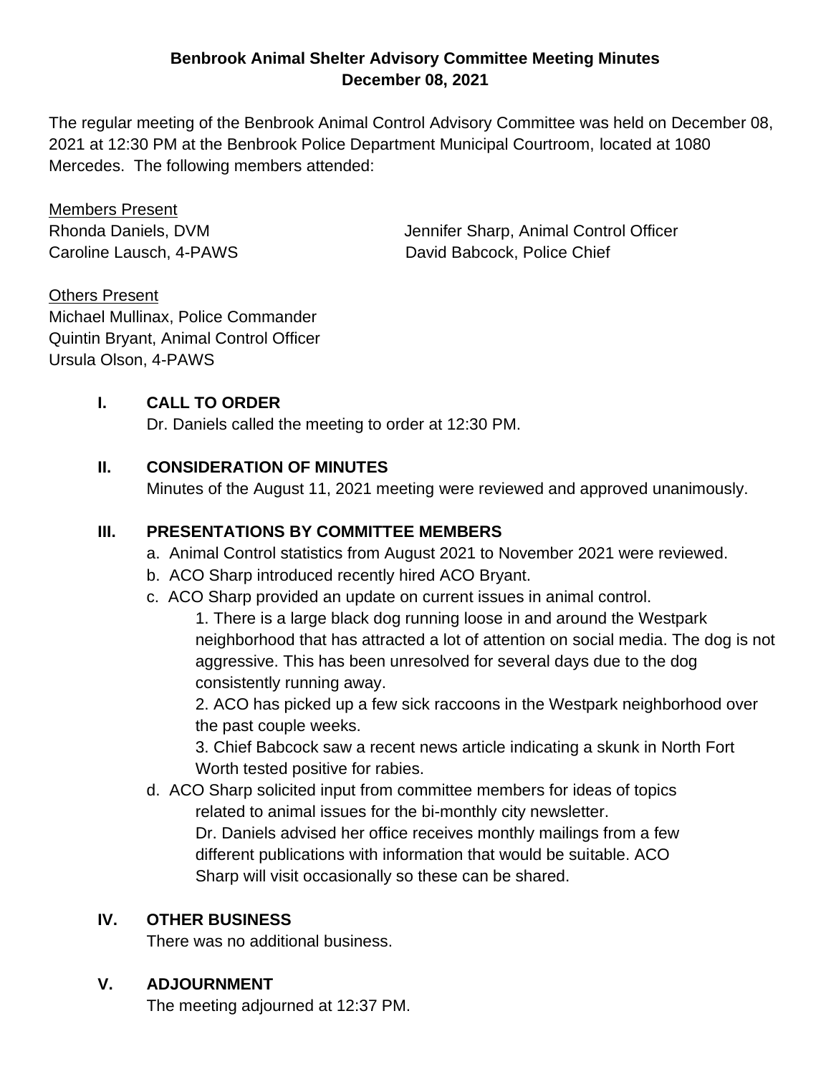#### **Benbrook Animal Shelter Advisory Committee Meeting Minutes December 08, 2021**

The regular meeting of the Benbrook Animal Control Advisory Committee was held on December 08, 2021 at 12:30 PM at the Benbrook Police Department Municipal Courtroom, located at 1080 Mercedes. The following members attended:

Members Present

Rhonda Daniels, DVM Jennifer Sharp, Animal Control Officer Caroline Lausch, 4-PAWS David Babcock, Police Chief

Others Present Michael Mullinax, Police Commander Quintin Bryant, Animal Control Officer Ursula Olson, 4-PAWS

#### **I. CALL TO ORDER**

Dr. Daniels called the meeting to order at 12:30 PM.

#### **II. CONSIDERATION OF MINUTES**

Minutes of the August 11, 2021 meeting were reviewed and approved unanimously.

#### **III. PRESENTATIONS BY COMMITTEE MEMBERS**

- a. Animal Control statistics from August 2021 to November 2021 were reviewed.
- b. ACO Sharp introduced recently hired ACO Bryant.
- c. ACO Sharp provided an update on current issues in animal control.

1. There is a large black dog running loose in and around the Westpark neighborhood that has attracted a lot of attention on social media. The dog is not aggressive. This has been unresolved for several days due to the dog consistently running away.

2. ACO has picked up a few sick raccoons in the Westpark neighborhood over the past couple weeks.

3. Chief Babcock saw a recent news article indicating a skunk in North Fort Worth tested positive for rabies.

d. ACO Sharp solicited input from committee members for ideas of topics related to animal issues for the bi-monthly city newsletter.

Dr. Daniels advised her office receives monthly mailings from a few different publications with information that would be suitable. ACO Sharp will visit occasionally so these can be shared.

#### **IV. OTHER BUSINESS**

There was no additional business.

### **V. ADJOURNMENT**

The meeting adjourned at 12:37 PM.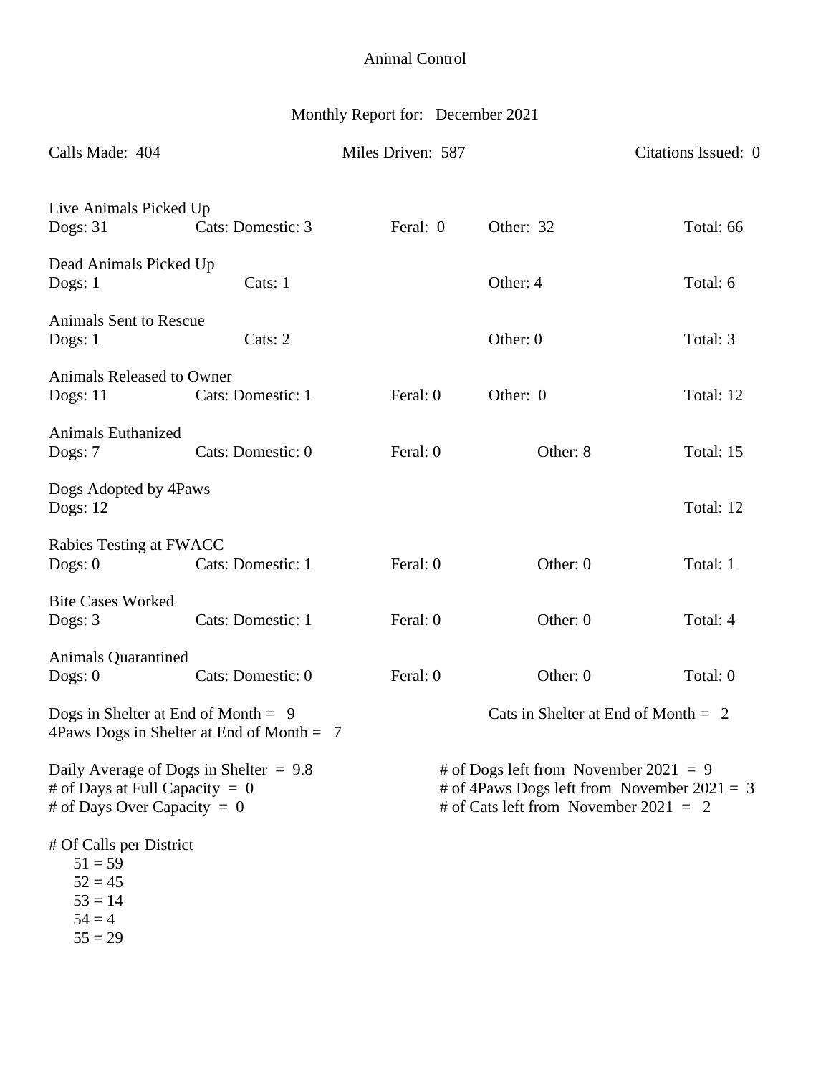# Monthly Report for: December 2021

| Calls Made: 404                                                                                               |                                             | Miles Driven: 587 |                                                                                                                                   | Citations Issued: 0 |  |
|---------------------------------------------------------------------------------------------------------------|---------------------------------------------|-------------------|-----------------------------------------------------------------------------------------------------------------------------------|---------------------|--|
| Live Animals Picked Up<br>Dogs: 31                                                                            | Cats: Domestic: 3                           | Feral: 0          | Other: 32                                                                                                                         | Total: 66           |  |
| Dead Animals Picked Up<br>Dogs: $1$                                                                           | Cats: 1                                     |                   | Other: 4                                                                                                                          | Total: 6            |  |
| <b>Animals Sent to Rescue</b><br>Dogs: $1$                                                                    | Cats: 2                                     |                   | Other: 0                                                                                                                          | Total: 3            |  |
| Animals Released to Owner<br>Dogs: 11                                                                         | Cats: Domestic: 1                           | Feral: 0          | Other: 0                                                                                                                          | Total: 12           |  |
| <b>Animals Euthanized</b><br>Dogs: 7                                                                          | Cats: Domestic: 0                           | Feral: 0          | Other: 8                                                                                                                          | Total: 15           |  |
| Dogs Adopted by 4Paws<br>Dogs: $12$                                                                           |                                             |                   |                                                                                                                                   | Total: 12           |  |
| Rabies Testing at FWACC<br>Dogs: $0$                                                                          | Cats: Domestic: 1                           | Feral: 0          | Other: 0                                                                                                                          | Total: 1            |  |
| <b>Bite Cases Worked</b><br>Dogs: 3                                                                           | Cats: Domestic: 1                           | Feral: 0          | Other: 0                                                                                                                          | Total: 4            |  |
| <b>Animals Quarantined</b><br>Dogs: $0$                                                                       | Cats: Domestic: 0                           | Feral: 0          | Other: 0                                                                                                                          | Total: 0            |  |
| Dogs in Shelter at End of Month = $9$                                                                         | 4Paws Dogs in Shelter at End of Month $= 7$ |                   | Cats in Shelter at End of Month $= 2$                                                                                             |                     |  |
| Daily Average of Dogs in Shelter $= 9.8$<br># of Days at Full Capacity = $0$<br># of Days Over Capacity = $0$ |                                             |                   | # of Dogs left from November 2021 = 9<br># of 4Paws Dogs left from November $2021 = 3$<br># of Cats left from November 2021 = $2$ |                     |  |
| # Of Calls per District<br>$51 = 59$<br>$52 = 45$<br>$53 = 14$<br>$54 = 4$<br>$55 = 29$                       |                                             |                   |                                                                                                                                   |                     |  |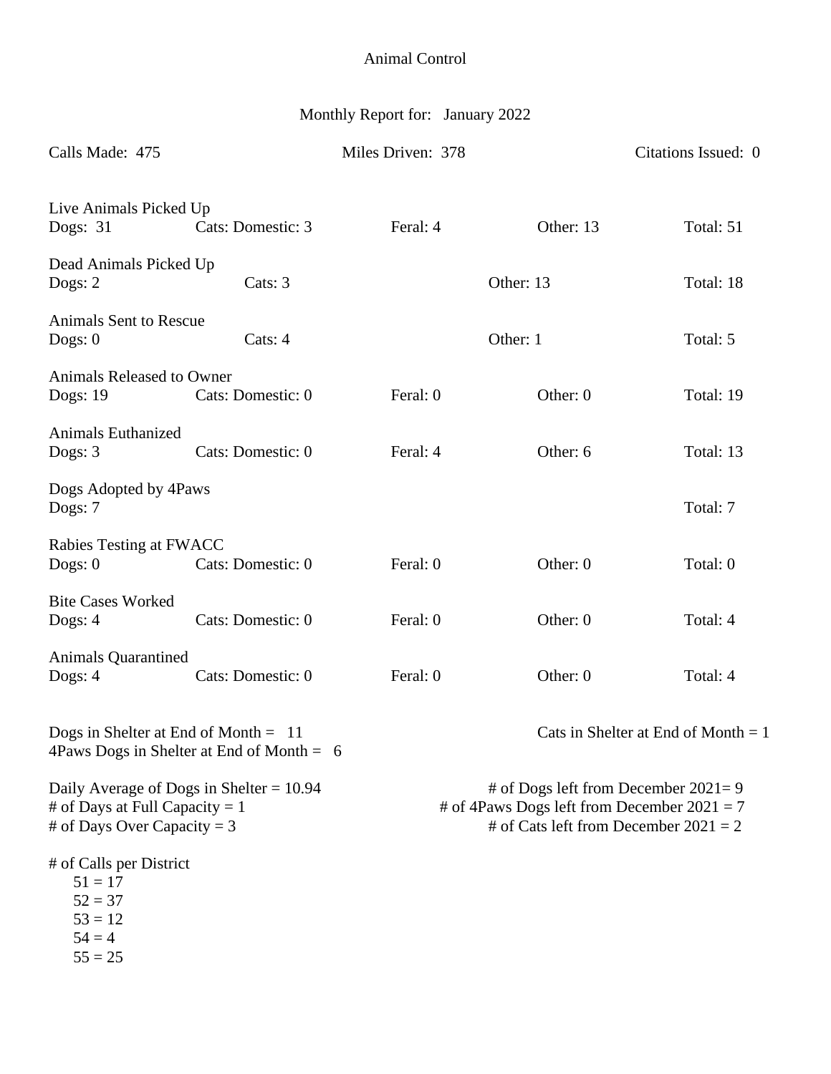# Monthly Report for: January 2022

| Calls Made: 475                                                                                               |                   | Miles Driven: 378 |                                                                                                                                   | Citations Issued: 0                   |  |
|---------------------------------------------------------------------------------------------------------------|-------------------|-------------------|-----------------------------------------------------------------------------------------------------------------------------------|---------------------------------------|--|
| Live Animals Picked Up<br>Dogs: 31                                                                            | Cats: Domestic: 3 | Feral: 4          | Other: 13                                                                                                                         | Total: 51                             |  |
| Dead Animals Picked Up<br>Dogs: $2$                                                                           | Cats: 3           |                   | Other: 13                                                                                                                         | Total: 18                             |  |
| <b>Animals Sent to Rescue</b><br>Dogs: $0$                                                                    | Cats: 4           |                   | Other: 1                                                                                                                          | Total: 5                              |  |
| Animals Released to Owner<br>Dogs: 19                                                                         | Cats: Domestic: 0 | Feral: 0          | Other: 0                                                                                                                          | Total: 19                             |  |
| <b>Animals Euthanized</b><br>Dogs: $3$                                                                        | Cats: Domestic: 0 | Feral: 4          | Other: 6                                                                                                                          | Total: 13                             |  |
| Dogs Adopted by 4Paws<br>Dogs: 7                                                                              |                   |                   |                                                                                                                                   | Total: 7                              |  |
| Rabies Testing at FWACC<br>Dogs: $0$                                                                          | Cats: Domestic: 0 | Feral: 0          | Other: 0                                                                                                                          | Total: 0                              |  |
| <b>Bite Cases Worked</b><br>Dogs: $4$                                                                         | Cats: Domestic: 0 | Feral: 0          | Other: 0                                                                                                                          | Total: 4                              |  |
| <b>Animals Quarantined</b><br>Dogs: $4$                                                                       | Cats: Domestic: 0 | Feral: 0          | Other: 0                                                                                                                          | Total: 4                              |  |
| Dogs in Shelter at End of Month $= 11$<br>4Paws Dogs in Shelter at End of Month = $6$                         |                   |                   |                                                                                                                                   | Cats in Shelter at End of Month $= 1$ |  |
| Daily Average of Dogs in Shelter = $10.94$<br># of Days at Full Capacity = $1$<br># of Days Over Capacity = 3 |                   |                   | # of Dogs left from December $2021=9$<br># of 4Paws Dogs left from December $2021 = 7$<br># of Cats left from December $2021 = 2$ |                                       |  |
| # of Calls per District<br>$51 = 17$<br>$52 = 37$<br>$53 = 12$<br>$54 = 4$<br>$55 = 25$                       |                   |                   |                                                                                                                                   |                                       |  |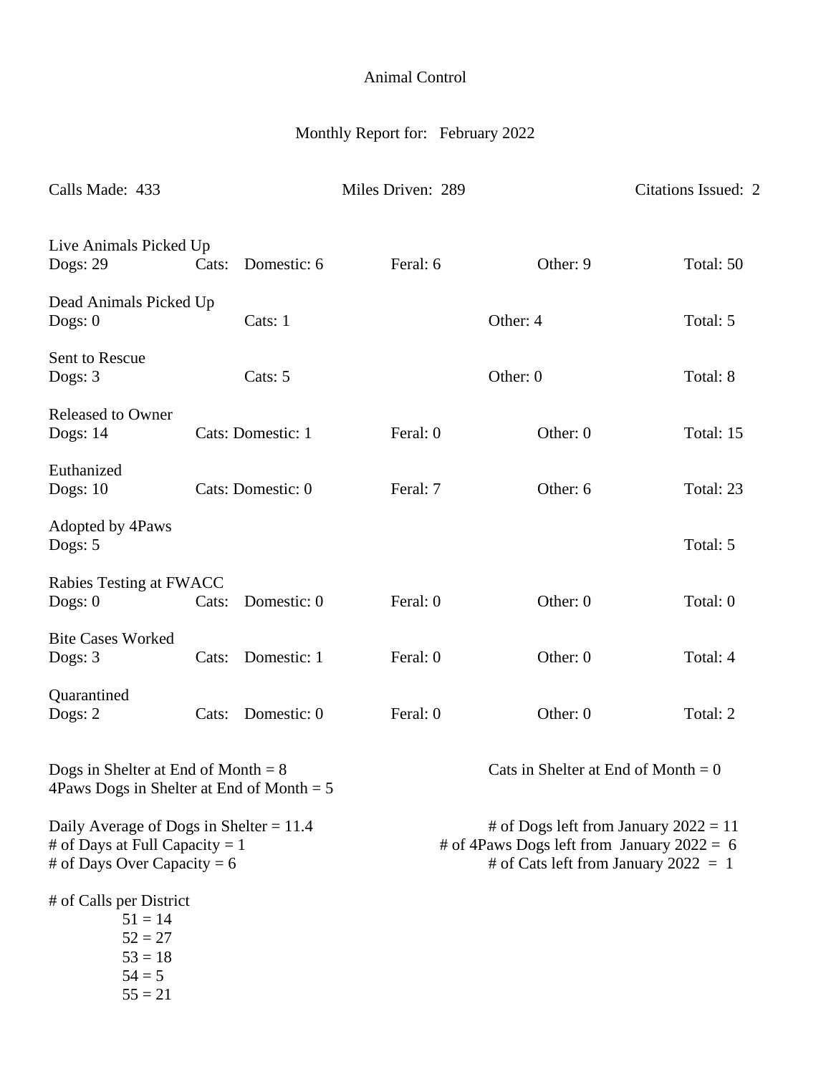# Monthly Report for: February 2022

| Calls Made: 433                                                                                              |       |                   | Miles Driven: 289                                                                                                               |                                       | Citations Issued: 2 |
|--------------------------------------------------------------------------------------------------------------|-------|-------------------|---------------------------------------------------------------------------------------------------------------------------------|---------------------------------------|---------------------|
| Live Animals Picked Up<br>Dogs: 29                                                                           | Cats: | Domestic: 6       | Feral: 6                                                                                                                        | Other: 9                              | Total: 50           |
| Dead Animals Picked Up<br>Dogs: $0$                                                                          |       | Cats: 1           |                                                                                                                                 | Other: 4                              | Total: 5            |
| Sent to Rescue<br>Dogs: 3                                                                                    |       | Cats: 5           |                                                                                                                                 | Other: 0                              | Total: 8            |
| <b>Released to Owner</b><br><b>Dogs: 14</b>                                                                  |       | Cats: Domestic: 1 | Feral: 0                                                                                                                        | Other: 0                              | Total: 15           |
| Euthanized<br>Dogs: $10$                                                                                     |       | Cats: Domestic: 0 | Feral: 7                                                                                                                        | Other: 6                              | Total: 23           |
| Adopted by 4Paws<br>Dogs: 5                                                                                  |       |                   |                                                                                                                                 |                                       | Total: 5            |
| Rabies Testing at FWACC<br>Dogs: $0$                                                                         | Cats: | Domestic: 0       | Feral: 0                                                                                                                        | Other: 0                              | Total: 0            |
| <b>Bite Cases Worked</b><br>Dogs: 3                                                                          | Cats: | Domestic: 1       | Feral: 0                                                                                                                        | Other: 0                              | Total: 4            |
| Quarantined<br>Dogs: $2$                                                                                     | Cats: | Domestic: 0       | Feral: 0                                                                                                                        | Other: 0                              | Total: 2            |
| Dogs in Shelter at End of Month $= 8$<br>4 Paws Dogs in Shelter at End of Month $= 5$                        |       |                   |                                                                                                                                 | Cats in Shelter at End of Month = $0$ |                     |
| Daily Average of Dogs in Shelter = $11.4$<br># of Days at Full Capacity = 1<br># of Days Over Capacity = $6$ |       |                   | # of Dogs left from January $2022 = 11$<br># of 4Paws Dogs left from January $2022 = 6$<br># of Cats left from January 2022 = 1 |                                       |                     |
| # of Calls per District<br>$51 = 14$<br>$52 = 27$<br>$53 = 18$<br>$54 = 5$<br>$55 = 21$                      |       |                   |                                                                                                                                 |                                       |                     |